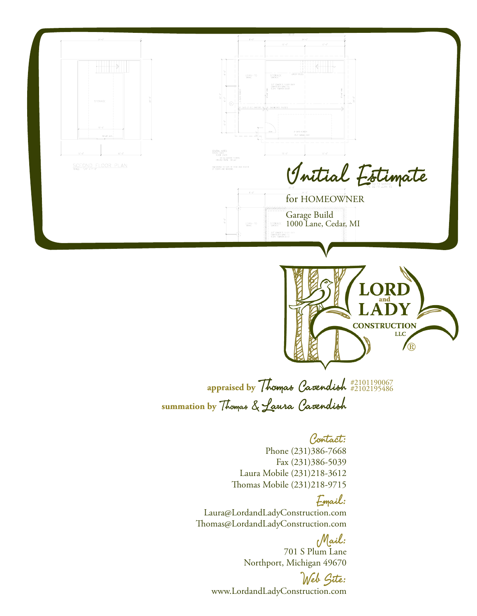

Mail: 701 S Plum Lane Northport, Michigan 49670

Web Site: www.LordandLadyConstruction.com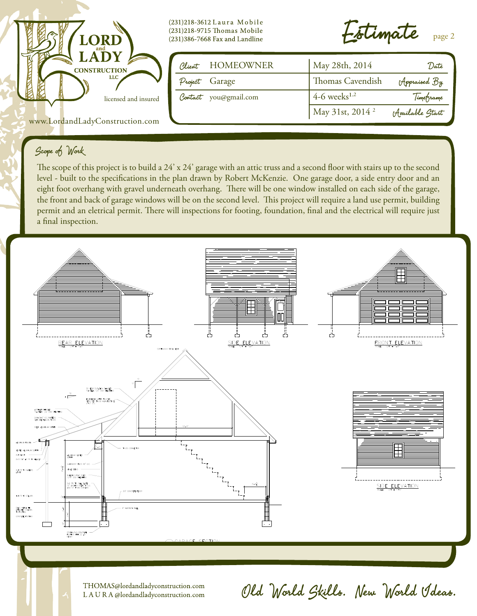

### Scope of Work

The scope of this project is to build a 24' x 24' garage with an attic truss and a second floor with stairs up to the second level - built to the specifications in the plan drawn by Robert McKenzie. One garage door, a side entry door and an eight foot overhang with gravel underneath overhang. There will be one window installed on each side of the garage, the front and back of garage windows will be on the second level. This project will require a land use permit, building permit and an eletrical permit. There will inspections for footing, foundation, final and the electrical will require just a final inspection.



THOMAS@lordandladyconstruction.com LAURA@lordandladyconstruction.com

# Old World Skills. New World Ideas.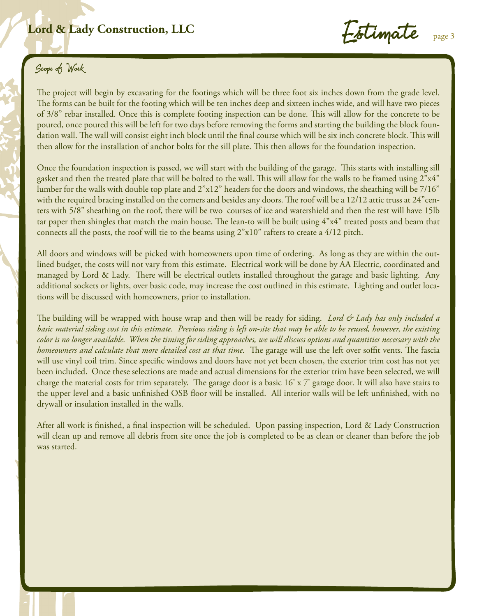## Lord & Lady Construction, LLC<br>
Followate

Estimate

## Scope of Work

The project will begin by excavating for the footings which will be three foot six inches down from the grade level. The forms can be built for the footing which will be ten inches deep and sixteen inches wide, and will have two pieces of 3/8" rebar installed. Once this is complete footing inspection can be done. This will allow for the concrete to be poured, once poured this will be left for two days before removing the forms and starting the building the block foundation wall. The wall will consist eight inch block until the final course which will be six inch concrete block. This will then allow for the installation of anchor bolts for the sill plate. This then allows for the foundation inspection.

Once the foundation inspection is passed, we will start with the building of the garage. This starts with installing sill gasket and then the treated plate that will be bolted to the wall. This will allow for the walls to be framed using 2"x4" lumber for the walls with double top plate and 2"x12" headers for the doors and windows, the sheathing will be 7/16" with the required bracing installed on the corners and besides any doors. The roof will be a 12/12 attic truss at 24"centers with 5/8" sheathing on the roof, there will be two courses of ice and watershield and then the rest will have 15lb tar paper then shingles that match the main house. The lean-to will be built using 4"x4" treated posts and beam that connects all the posts, the roof will tie to the beams using 2"x10" rafters to create a 4/12 pitch.

All doors and windows will be picked with homeowners upon time of ordering. As long as they are within the outlined budget, the costs will not vary from this estimate. Electrical work will be done by AA Electric, coordinated and managed by Lord & Lady. There will be electrical outlets installed throughout the garage and basic lighting. Any additional sockets or lights, over basic code, may increase the cost outlined in this estimate. Lighting and outlet locations will be discussed with homeowners, prior to installation.

The building will be wrapped with house wrap and then will be ready for siding. *Lord & Lady has only included a basic material siding cost in this estimate. Previous siding is left on-site that may be able to be reused, however, the existing color is no longer available. When the timing for siding approaches, we will discuss options and quantities necessary with the homeowners and calculate that more detailed cost at that time.* The garage will use the left over soffit vents. The fascia will use vinyl coil trim. Since specific windows and doors have not yet been chosen, the exterior trim cost has not yet been included. Once these selections are made and actual dimensions for the exterior trim have been selected, we will charge the material costs for trim separately. The garage door is a basic 16' x 7' garage door. It will also have stairs to the upper level and a basic unfinished OSB floor will be installed. All interior walls will be left unfinished, with no drywall or insulation installed in the walls.

After all work is finished, a final inspection will be scheduled. Upon passing inspection, Lord & Lady Construction will clean up and remove all debris from site once the job is completed to be as clean or cleaner than before the job was started.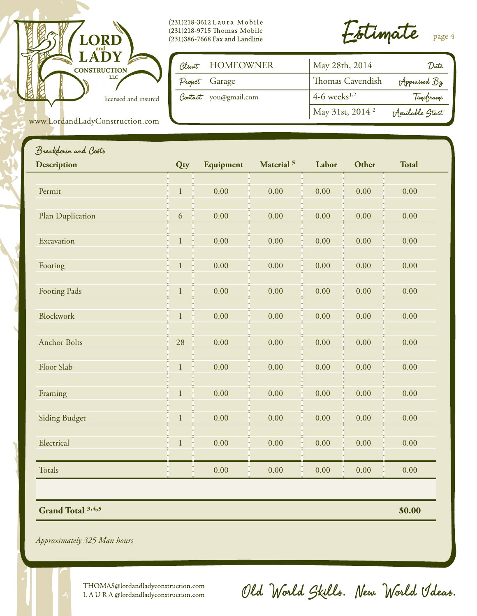

(231)218-3612 Laura Mobile (231)218-9715 Thomas Mobile  $(231)386$ -7668 Fax and Landline

Estimate page 4

| Client HOMEOWNER      | May 28th, 2014              | 'Date            |
|-----------------------|-----------------------------|------------------|
| Project Garage        | Thomas Cavendish            | Appraised By     |
| Contact you@gmail.com | $4-6$ weeks <sup>1,2</sup>  | Timeframe        |
|                       | May 31st, 2014 <sup>2</sup> | (Available Start |

www.LordandLadyConstruction.com

| <b>Description</b>   | Qty          | Equipment | Material <sup>5</sup> | Labor    | Other    | <b>Total</b> |
|----------------------|--------------|-----------|-----------------------|----------|----------|--------------|
|                      |              |           |                       |          |          |              |
| Permit               | $\mathbf{1}$ | 0.00      | 0.00                  | 0.00     | 0.00     | 0.00         |
| Plan Duplication     | 6            | 0.00      | 0.00                  | $0.00\,$ | 0.00     | 0.00         |
| Excavation           | $\mathbf{1}$ | 0.00      | 0.00                  | 0.00     | 0.00     | 0.00         |
| Footing              | $\mathbf{1}$ | 0.00      | 0.00                  | 0.00     | 0.00     | 0.00         |
| <b>Footing Pads</b>  | $\mathbf{1}$ | 0.00      | 0.00                  | 0.00     | 0.00     | 0.00         |
| <b>Blockwork</b>     | $1\,$        | 0.00      | 0.00                  | 0.00     | 0.00     | 0.00         |
| <b>Anchor Bolts</b>  | 28           | 0.00      | 0.00                  | 0.00     | 0.00     | 0.00         |
| Floor Slab           | $\mathbf{1}$ | 0.00      | 0.00                  | 0.00     | 0.00     | 0.00         |
| Framing              | $\mathbf{1}$ | 0.00      | 0.00                  | 0.00     | 0.00     | 0.00         |
| <b>Siding Budget</b> | $\mathbf{1}$ | 0.00      | 0.00                  | 0.00     | 0.00     | 0.00         |
| Electrical           | $\,1$        | 0.00      | 0.00                  | 0.00     | 0.00     | 0.00         |
| <b>Totals</b>        |              | 0.00      | 0.00                  | $0.00\,$ | $0.00\,$ | 0.00         |

*Approximately 325 Man hours*

THOMAS@lordandladyconstruction.com LAURA@lordandladyconstruction.com

Old World Skills. New World Ideas.